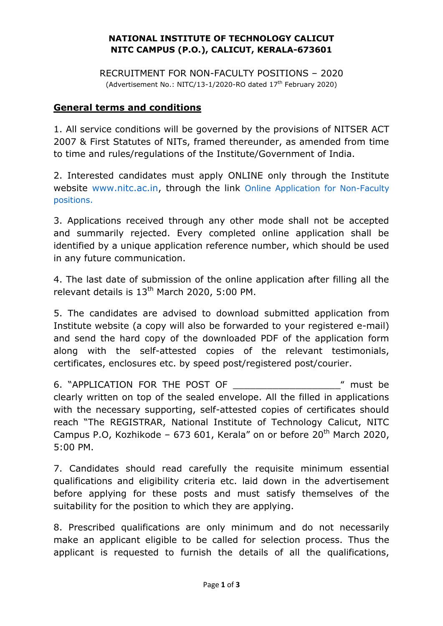## **NATIONAL INSTITUTE OF TECHNOLOGY CALICUT NITC CAMPUS (P.O.), CALICUT, KERALA-673601**

RECRUITMENT FOR NON-FACULTY POSITIONS – 2020 (Advertisement No.: NITC/13-1/2020-RO dated  $17<sup>th</sup>$  February 2020)

## **General terms and conditions**

1. All service conditions will be governed by the provisions of NITSER ACT 2007 & First Statutes of NITs, framed thereunder, as amended from time to time and rules/regulations of the Institute/Government of India.

2. Interested candidates must apply ONLINE only through the Institute website www.nitc.ac.in, through the link Online Application for Non-Faculty positions.

3. Applications received through any other mode shall not be accepted and summarily rejected. Every completed online application shall be identified by a unique application reference number, which should be used in any future communication.

4. The last date of submission of the online application after filling all the relevant details is 13<sup>th</sup> March 2020, 5:00 PM.

5. The candidates are advised to download submitted application from Institute website (a copy will also be forwarded to your registered e-mail) and send the hard copy of the downloaded PDF of the application form along with the self-attested copies of the relevant testimonials, certificates, enclosures etc. by speed post/registered post/courier.

6. "APPLICATION FOR THE POST OF THE 2001 THE POST OF clearly written on top of the sealed envelope. All the filled in applications with the necessary supporting, self-attested copies of certificates should reach "The REGISTRAR, National Institute of Technology Calicut, NITC Campus P.O, Kozhikode - 673 601, Kerala" on or before  $20<sup>th</sup>$  March 2020, 5:00 PM.

7. Candidates should read carefully the requisite minimum essential qualifications and eligibility criteria etc. laid down in the advertisement before applying for these posts and must satisfy themselves of the suitability for the position to which they are applying.

8. Prescribed qualifications are only minimum and do not necessarily make an applicant eligible to be called for selection process. Thus the applicant is requested to furnish the details of all the qualifications,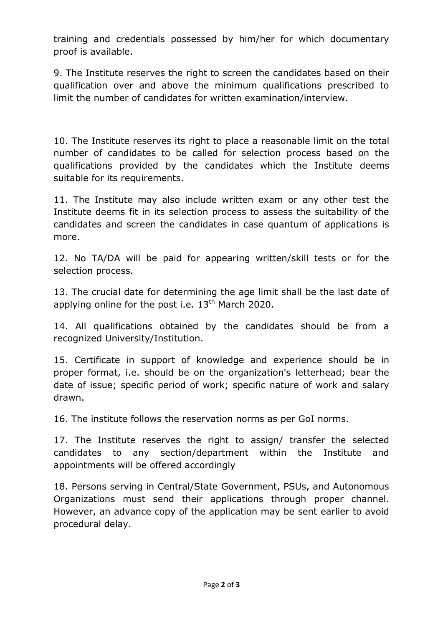training and credentials possessed by him/her for which documentary proof is available.

9. The Institute reserves the right to screen the candidates based on their qualification over and above the minimum qualifications prescribed to limit the number of candidates for written examination/interview.

10. The Institute reserves its right to place a reasonable limit on the total number of candidates to be called for selection process based on the qualifications provided by the candidates which the Institute deems suitable for its requirements.

11. The Institute may also include written exam or any other test the Institute deems fit in its selection process to assess the suitability of the candidates and screen the candidates in case quantum of applications is more.

12. No TA/DA will be paid for appearing written/skill tests or for the selection process.

13. The crucial date for determining the age limit shall be the last date of applying online for the post i.e.  $13<sup>th</sup>$  March 2020.

14. All qualifications obtained by the candidates should be from a recognized University/Institution.

15. Certificate in support of knowledge and experience should be in proper format, i.e. should be on the organization's letterhead; bear the date of issue; specific period of work; specific nature of work and salary drawn.

16. The institute follows the reservation norms as per GoI norms.

17. The Institute reserves the right to assign/ transfer the selected candidates to any section/department within the Institute and appointments will be offered accordingly

18. Persons serving in Central/State Government, PSUs, and Autonomous Organizations must send their applications through proper channel. However, an advance copy of the application may be sent earlier to avoid procedural delay.